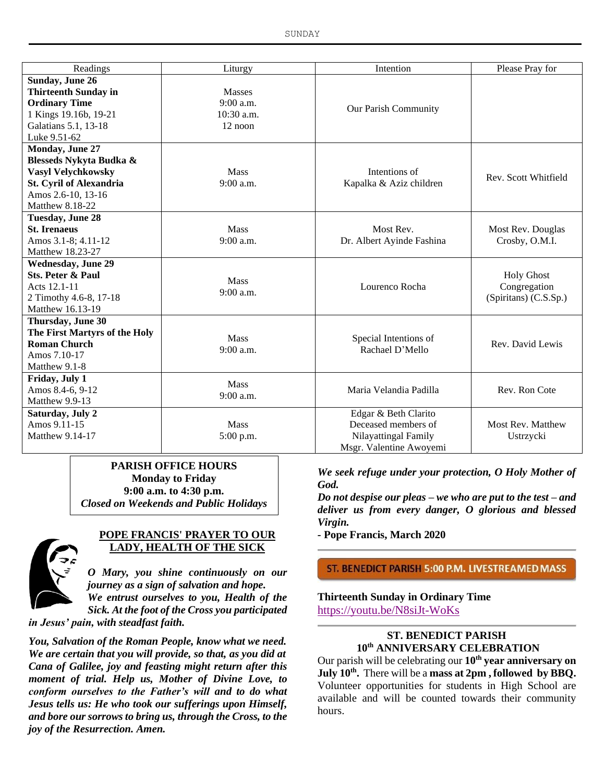| Readings                       | Liturgy             | Intention                 | Please Pray for       |
|--------------------------------|---------------------|---------------------------|-----------------------|
| <b>Sunday, June 26</b>         |                     |                           |                       |
| <b>Thirteenth Sunday in</b>    | Masses              |                           |                       |
| <b>Ordinary Time</b>           | 9:00 a.m.           | Our Parish Community      |                       |
| 1 Kings 19.16b, 19-21          | $10:30$ a.m.        |                           |                       |
| Galatians 5.1, 13-18           | $12$ noon           |                           |                       |
| Luke 9.51-62                   |                     |                           |                       |
| Monday, June 27                |                     |                           |                       |
| Blesseds Nykyta Budka &        |                     |                           |                       |
| <b>Vasyl Velychkowsky</b>      | Mass                | Intentions of             | Rev. Scott Whitfield  |
| <b>St. Cyril of Alexandria</b> | 9:00 a.m.           | Kapalka & Aziz children   |                       |
| Amos 2.6-10, 13-16             |                     |                           |                       |
| <b>Matthew 8.18-22</b>         |                     |                           |                       |
| <b>Tuesday, June 28</b>        |                     |                           |                       |
| <b>St. Irenaeus</b>            | <b>Mass</b>         | Most Rev.                 | Most Rev. Douglas     |
| Amos 3.1-8; 4.11-12            | $9:00$ a.m.         | Dr. Albert Ayinde Fashina | Crosby, O.M.I.        |
| Matthew 18.23-27               |                     |                           |                       |
| <b>Wednesday, June 29</b>      | Mass<br>$9:00$ a.m. | Lourenco Rocha            |                       |
| <b>Sts. Peter &amp; Paul</b>   |                     |                           | <b>Holy Ghost</b>     |
| Acts 12.1-11                   |                     |                           | Congregation          |
| 2 Timothy 4.6-8, 17-18         |                     |                           | (Spiritans) (C.S.Sp.) |
| Matthew 16.13-19               |                     |                           |                       |
| Thursday, June 30              |                     |                           |                       |
| The First Martyrs of the Holy  | <b>Mass</b>         | Special Intentions of     |                       |
| <b>Roman Church</b>            | $9:00$ a.m.         | Rachael D'Mello           | Rev. David Lewis      |
| Amos 7.10-17                   |                     |                           |                       |
| Matthew 9.1-8                  |                     |                           |                       |
| Friday, July 1                 | <b>Mass</b>         |                           |                       |
| Amos 8.4-6, 9-12               | 9:00 a.m.           | Maria Velandia Padilla    | Rev. Ron Cote         |
| Matthew 9.9-13                 |                     |                           |                       |
| Saturday, July 2               |                     | Edgar & Beth Clarito      |                       |
| Amos 9.11-15                   | Mass                | Deceased members of       | Most Rev. Matthew     |
| Matthew 9.14-17                | 5:00 p.m.           | Nilayattingal Family      | Ustrzycki             |
|                                |                     | Msgr. Valentine Awoyemi   |                       |

### **PARISH OFFICE HOURS Monday to Friday 9:00 a.m. to 4:30 p.m.** *Closed on Weekends and Public Holidays*



### **POPE FRANCIS' PRAYER TO OUR LADY, HEALTH OF THE SICK**

*O Mary, you shine continuously on our journey as a sign of salvation and hope. We entrust ourselves to you, Health of the Sick. At the foot of the Cross you participated* 

*in Jesus' pain, with steadfast faith.*

*You, Salvation of the Roman People, know what we need. We are certain that you will provide, so that, as you did at Cana of Galilee, joy and feasting might return after this moment of trial. Help us, Mother of Divine Love, to conform ourselves to the Father's will and to do what Jesus tells us: He who took our sufferings upon Himself, and bore our sorrows to bring us, through the Cross, to the joy of the Resurrection. Amen.*

*We seek refuge under your protection, O Holy Mother of God.*

*Do not despise our pleas – we who are put to the test – and deliver us from every danger, O glorious and blessed Virgin.*

*-* **Pope Francis, March 2020**

### ST. BENEDICT PARISH 5:00 P.M. LIVESTREAMED MASS

### **Thirteenth Sunday in Ordinary Time** https://youtu.be/N8siJt-WoKs

## **ST. BENEDICT PARISH 10th ANNIVERSARY CELEBRATION**

Our parish will be celebrating our **10th year anniversary on July 10th .** There will be a **mass at 2pm , followed by BBQ.** Volunteer opportunities for students in High School are available and will be counted towards their community hours.